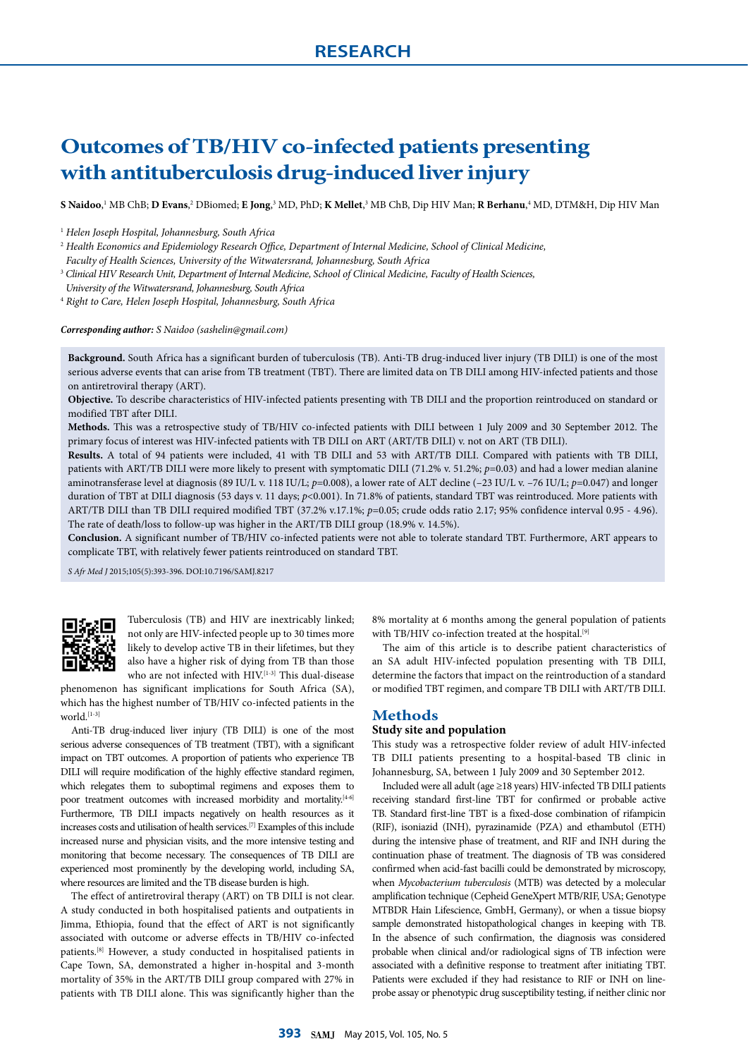# **Outcomes of TB/HIV co-infected patients presenting with antituberculosis drug-induced liver injury**

 ${\bf S}$  **Naidoo,'** MB ChB;  ${\bf D}$  **Evans**,?  ${\bf D}$ Biomed;  ${\bf E}$  Jong,<sup>3</sup> MD, PhD;  ${\bf K}$  Mellet,<sup>3</sup> MB ChB, Dip HIV Man;  ${\bf R}$  Berhanu,<sup>4</sup> MD, DTM&H, Dip HIV Man

<sup>1</sup> *Helen Joseph Hospital, Johannesburg, South Africa*

<sup>2</sup> *Health Economics and Epidemiology Research Office, Department of Internal Medicine, School of Clinical Medicine,* 

*Faculty of Health Sciences, University of the Witwatersrand, Johannesburg, South Africa*

<sup>3</sup> *Clinical HIV Research Unit, Department of Internal Medicine, School of Clinical Medicine, Faculty of Health Sciences,* 

*University of the Witwatersrand, Johannesburg, South Africa*

<sup>4</sup> *Right to Care, Helen Joseph Hospital, Johannesburg, South Africa*

*Corresponding author: S Naidoo (sashelin@gmail.com)*

**Background.** South Africa has a significant burden of tuberculosis (TB). Anti-TB drug-induced liver injury (TB DILI) is one of the most serious adverse events that can arise from TB treatment (TBT). There are limited data on TB DILI among HIV-infected patients and those on antiretroviral therapy (ART).

**Objective.** To describe characteristics of HIV-infected patients presenting with TB DILI and the proportion reintroduced on standard or modified TBT after DILI.

**Methods.** This was a retrospective study of TB/HIV co-infected patients with DILI between 1 July 2009 and 30 September 2012. The primary focus of interest was HIV-infected patients with TB DILI on ART (ART/TB DILI) v. not on ART (TB DILI).

**Results.** A total of 94 patients were included, 41 with TB DILI and 53 with ART/TB DILI. Compared with patients with TB DILI, patients with ART/TB DILI were more likely to present with symptomatic DILI (71.2% v. 51.2%; *p*=0.03) and had a lower median alanine aminotransferase level at diagnosis (89 IU/L v. 118 IU/L; *p*=0.008), a lower rate of ALT decline (–23 IU/L v. –76 IU/L; *p*=0.047) and longer duration of TBT at DILI diagnosis (53 days v. 11 days;  $p$ <0.001). In 71.8% of patients, standard TBT was reintroduced. More patients with ART/TB DILI than TB DILI required modified TBT (37.2% v.17.1%; *p*=0.05; crude odds ratio 2.17; 95% confidence interval 0.95 - 4.96). The rate of death/loss to follow-up was higher in the ART/TB DILI group (18.9% v. 14.5%).

**Conclusion.** A significant number of TB/HIV co-infected patients were not able to tolerate standard TBT. Furthermore, ART appears to complicate TBT, with relatively fewer patients reintroduced on standard TBT.

*S Afr Med J* 2015;105(5):393-396. DOI:10.7196/SAMJ.8217



Tuberculosis (TB) and HIV are inextricably linked; not only are HIV-infected people up to 30 times more likely to develop active TB in their lifetimes, but they also have a higher risk of dying from TB than those who are not infected with HIV.<sup>[1-3]</sup> This dual-disease

phenomenon has significant implications for South Africa (SA), which has the highest number of TB/HIV co-infected patients in the world.<sup>[1-3]</sup>

Anti-TB drug-induced liver injury (TB DILI) is one of the most serious adverse consequences of TB treatment (TBT), with a significant impact on TBT outcomes. A proportion of patients who experience TB DILI will require modification of the highly effective standard regimen, which relegates them to suboptimal regimens and exposes them to poor treatment outcomes with increased morbidity and mortality.<sup>[4-6]</sup> Furthermore, TB DILI impacts negatively on health resources as it increases costs and utilisation of health services.[7] Examples of this include increased nurse and physician visits, and the more intensive testing and monitoring that become necessary. The consequences of TB DILI are experienced most prominently by the developing world, including SA, where resources are limited and the TB disease burden is high.

The effect of antiretroviral therapy (ART) on TB DILI is not clear. A study conducted in both hospitalised patients and outpatients in Jimma, Ethiopia, found that the effect of ART is not significantly associated with outcome or adverse effects in TB/HIV co-infected patients.[8] However, a study conducted in hospitalised patients in Cape Town, SA, demonstrated a higher in-hospital and 3-month mortality of 35% in the ART/TB DILI group compared with 27% in patients with TB DILI alone. This was significantly higher than the 8% mortality at 6 months among the general population of patients with TB/HIV co-infection treated at the hospital.<sup>[9]</sup>

The aim of this article is to describe patient characteristics of an SA adult HIV-infected population presenting with TB DILI, determine the factors that impact on the reintroduction of a standard or modified TBT regimen, and compare TB DILI with ART/TB DILI.

## **Methods**

## **Study site and population**

This study was a retrospective folder review of adult HIV-infected TB DILI patients presenting to a hospital-based TB clinic in Johannesburg, SA, between 1 July 2009 and 30 September 2012.

Included were all adult (age ≥18 years) HIV-infected TB DILI patients receiving standard first-line TBT for confirmed or probable active TB. Standard first-line TBT is a fixed-dose combination of rifampicin (RIF), isoniazid (INH), pyrazinamide (PZA) and ethambutol (ETH) during the intensive phase of treatment, and RIF and INH during the continuation phase of treatment. The diagnosis of TB was considered confirmed when acid-fast bacilli could be demonstrated by microscopy, when *Mycobacterium tuberculosis* (MTB) was detected by a molecular amplification technique (Cepheid GeneXpert MTB/RIF, USA; Genotype MTBDR Hain Lifescience, GmbH, Germany), or when a tissue biopsy sample demonstrated histopathological changes in keeping with TB. In the absence of such confirmation, the diagnosis was considered probable when clinical and/or radiological signs of TB infection were associated with a definitive response to treatment after initiating TBT. Patients were excluded if they had resistance to RIF or INH on lineprobe assay or phenotypic drug susceptibility testing, if neither clinic nor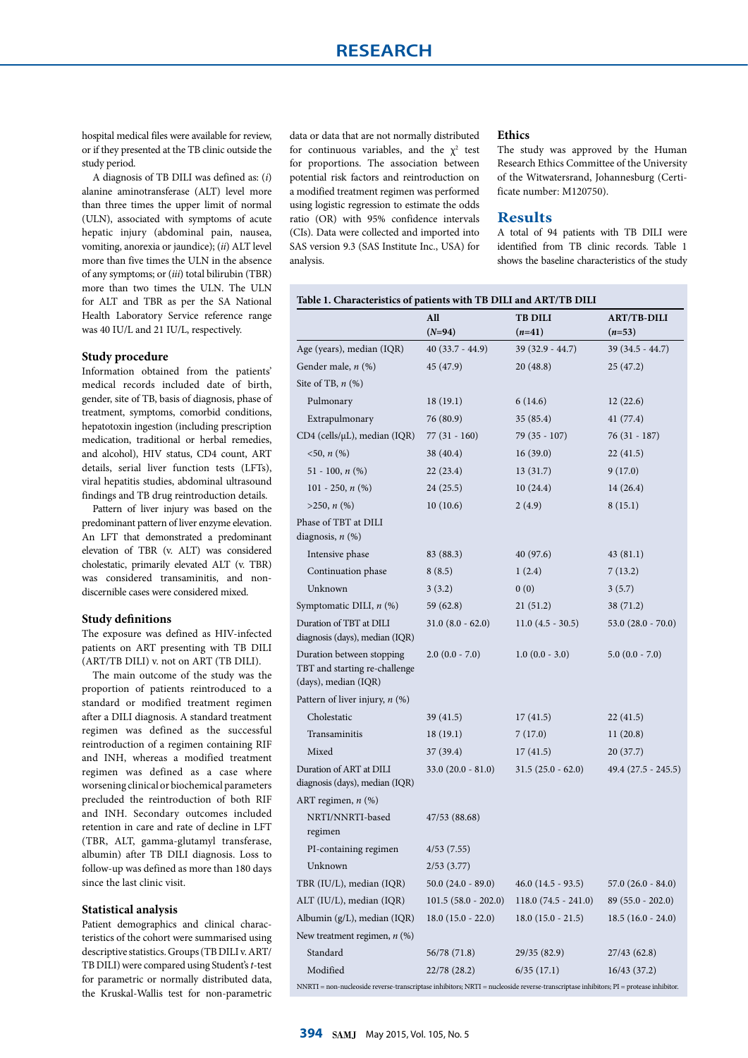hospital medical files were available for review, or if they presented at the TB clinic outside the study period.

A diagnosis of TB DILI was defined as: (*i*) alanine aminotransferase (ALT) level more than three times the upper limit of normal (ULN), associated with symptoms of acute hepatic injury (abdominal pain, nausea, vomiting, anorexia or jaundice); (*ii*) ALT level more than five times the ULN in the absence of any symptoms; or (*iii*) total bilirubin (TBR) more than two times the ULN. The ULN for ALT and TBR as per the SA National Health Laboratory Service reference range was 40 IU/L and 21 IU/L, respectively.

## **Study procedure**

Information obtained from the patients' medical records included date of birth, gender, site of TB, basis of diagnosis, phase of treatment, symptoms, comorbid conditions, hepatotoxin ingestion (including prescription medication, traditional or herbal remedies, and alcohol), HIV status, CD4 count, ART details, serial liver function tests (LFTs), viral hepatitis studies, abdominal ultrasound findings and TB drug reintroduction details.

Pattern of liver injury was based on the predominant pattern of liver enzyme elevation. An LFT that demonstrated a predominant elevation of TBR (v. ALT) was considered cholestatic, primarily elevated ALT (v. TBR) was considered transaminitis, and nondiscernible cases were considered mixed.

#### **Study definitions**

The exposure was defined as HIV-infected patients on ART presenting with TB DILI (ART/TB DILI) v. not on ART (TB DILI).

The main outcome of the study was the proportion of patients reintroduced to a standard or modified treatment regimen after a DILI diagnosis. A standard treatment regimen was defined as the successful reintroduction of a regimen containing RIF and INH, whereas a modified treatment regimen was defined as a case where worsening clinical or biochemical parameters precluded the reintroduction of both RIF and INH. Secondary outcomes included retention in care and rate of decline in LFT (TBR, ALT, gamma-glutamyl transferase, albumin) after TB DILI diagnosis. Loss to follow-up was defined as more than 180 days since the last clinic visit.

### **Statistical analysis**

Patient demographics and clinical characteristics of the cohort were summarised using descriptive statistics. Groups (TB DILI v. ART/ TB DILI) were compared using Student's *t*-test for parametric or normally distributed data, the Kruskal-Wallis test for non-parametric

data or data that are not normally distributed for continuous variables, and the  $\chi^2$  test for proportions. The association between potential risk factors and reintroduction on a modified treatment regimen was performed using logistic regression to estimate the odds ratio (OR) with 95% confidence intervals (CIs). Data were collected and imported into SAS version 9.3 (SAS Institute Inc., USA) for analysis.

#### **Ethics**

The study was approved by the Human Research Ethics Committee of the University of the Witwatersrand, Johannesburg (Certificate number: M120750).

## **Results**

A total of 94 patients with TB DILI were identified from TB clinic records. Table 1 shows the baseline characteristics of the study

|                                                                                    | All                   | <b>TB DILI</b>        | <b>ART/TB-DILI</b>  |
|------------------------------------------------------------------------------------|-----------------------|-----------------------|---------------------|
|                                                                                    | $(N=94)$              | $(n=41)$              | $(n=53)$            |
| Age (years), median (IQR)                                                          | $40(33.7 - 44.9)$     | $39(32.9 - 44.7)$     | 39 (34.5 - 44.7)    |
| Gender male, n (%)                                                                 | 45 (47.9)             | 20(48.8)              | 25 (47.2)           |
| Site of TB, $n$ $(\%)$                                                             |                       |                       |                     |
| Pulmonary                                                                          | 18 (19.1)             | 6(14.6)               | 12(22.6)            |
| Extrapulmonary                                                                     | 76 (80.9)             | 35(85.4)              | 41 (77.4)           |
| CD4 (cells/µL), median (IQR)                                                       | $77(31 - 160)$        | 79 (35 - 107)         | $76(31 - 187)$      |
| $<50, n$ (%)                                                                       | 38 (40.4)             | 16(39.0)              | 22(41.5)            |
| 51 - 100, $n$ (%)                                                                  | 22(23.4)              | 13(31.7)              | 9(17.0)             |
| 101 - 250, $n$ (%)                                                                 | 24(25.5)              | 10(24.4)              | 14(26.4)            |
| $>250, n$ (%)                                                                      | 10(10.6)              | 2(4.9)                | 8(15.1)             |
| Phase of TBT at DILI<br>diagnosis, $n$ $(\%)$                                      |                       |                       |                     |
| Intensive phase                                                                    | 83 (88.3)             | 40 (97.6)             | 43 (81.1)           |
| Continuation phase                                                                 | 8(8.5)                | 1(2.4)                | 7(13.2)             |
| Unknown                                                                            | 3(3.2)                | 0(0)                  | 3(5.7)              |
| Symptomatic DILI, $n$ (%)                                                          | 59 (62.8)             | 21(51.2)              | 38 (71.2)           |
| Duration of TBT at DILI<br>diagnosis (days), median (IQR)                          | $31.0 (8.0 - 62.0)$   | $11.0(4.5 - 30.5)$    | 53.0 (28.0 - 70.0)  |
| Duration between stopping<br>TBT and starting re-challenge<br>(days), median (IQR) | $2.0$ $(0.0 - 7.0)$   | $1.0 (0.0 - 3.0)$     | $5.0(0.0 - 7.0)$    |
| Pattern of liver injury, $n$ (%)                                                   |                       |                       |                     |
| Cholestatic                                                                        | 39 (41.5)             | 17(41.5)              | 22 (41.5)           |
| Transaminitis                                                                      | 18(19.1)              | 7(17.0)               | 11(20.8)            |
| Mixed                                                                              | 37 (39.4)             | 17(41.5)              | 20 (37.7)           |
| Duration of ART at DILI<br>diagnosis (days), median (IQR)                          | $33.0(20.0 - 81.0)$   | $31.5(25.0 - 62.0)$   | 49.4 (27.5 - 245.5) |
| ART regimen, $n$ (%)                                                               |                       |                       |                     |
| NRTI/NNRTI-based<br>regimen                                                        | 47/53 (88.68)         |                       |                     |
| PI-containing regimen                                                              | 4/53(7.55)            |                       |                     |
| Unknown                                                                            | 2/53(3.77)            |                       |                     |
| TBR (IU/L), median (IQR)                                                           | $50.0(24.0 - 89.0)$   | $46.0(14.5 - 93.5)$   | 57.0 (26.0 - 84.0)  |
| ALT (IU/L), median (IQR)                                                           | $101.5(58.0 - 202.0)$ | $118.0(74.5 - 241.0)$ | 89 (55.0 - 202.0)   |
| Albumin (g/L), median (IQR)                                                        | $18.0(15.0 - 22.0)$   | $18.0(15.0 - 21.5)$   | $18.5(16.0 - 24.0)$ |
| New treatment regimen, $n$ (%)                                                     |                       |                       |                     |
| Standard                                                                           | 56/78 (71.8)          | 29/35 (82.9)          | 27/43 (62.8)        |
| Modified                                                                           | 22/78 (28.2)          | 6/35(17.1)            | 16/43 (37.2)        |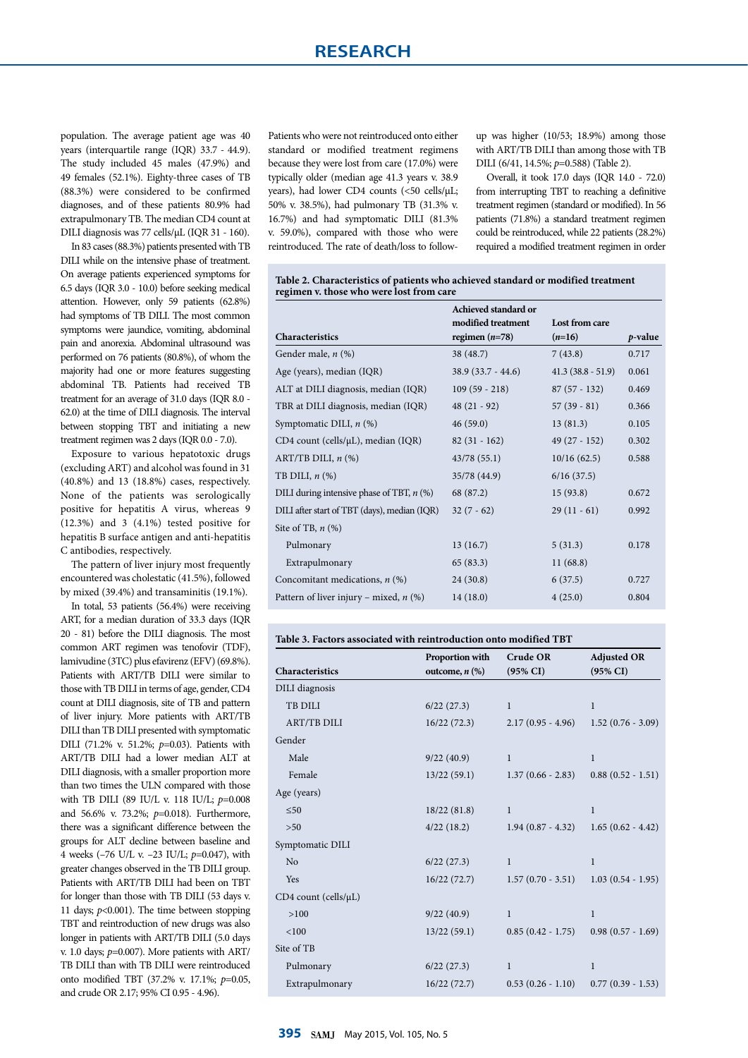population. The average patient age was 40 years (interquartile range (IQR) 33.7 - 44.9). The study included 45 males (47.9%) and 49 females (52.1%). Eighty-three cases of TB (88.3%) were considered to be confirmed diagnoses, and of these patients 80.9% had extrapulmonary TB. The median CD4 count at DILI diagnosis was 77 cells/µL (IQR 31 - 160).

In 83 cases (88.3%) patients presented with TB DILI while on the intensive phase of treatment. On average patients experienced symptoms for 6.5 days (IQR 3.0 - 10.0) before seeking medical attention. However, only 59 patients (62.8%) had symptoms of TB DILI. The most common symptoms were jaundice, vomiting, abdominal pain and anorexia. Abdominal ultrasound was performed on 76 patients (80.8%), of whom the majority had one or more features suggesting abdominal TB. Patients had received TB treatment for an average of 31.0 days (IQR 8.0 - 62.0) at the time of DILI diagnosis. The interval between stopping TBT and initiating a new treatment regimen was 2 days (IQR 0.0 - 7.0).

Exposure to various hepatotoxic drugs (excluding ART) and alcohol was found in 31 (40.8%) and 13 (18.8%) cases, respectively. None of the patients was serologically positive for hepatitis A virus, whereas 9 (12.3%) and 3 (4.1%) tested positive for hepatitis B surface antigen and anti-hepatitis C antibodies, respectively.

The pattern of liver injury most frequently encountered was cholestatic (41.5%), followed by mixed (39.4%) and transaminitis (19.1%).

In total, 53 patients (56.4%) were receiving ART, for a median duration of 33.3 days (IQR 20 - 81) before the DILI diagnosis. The most common ART regimen was tenofovir (TDF), lamivudine (3TC) plus efavirenz (EFV) (69.8%). Patients with ART/TB DILI were similar to those with TB DILI in terms of age, gender, CD4 count at DILI diagnosis, site of TB and pattern of liver injury. More patients with ART/TB DILI than TB DILI presented with symptomatic DILI (71.2% v. 51.2%; *p*=0.03). Patients with ART/TB DILI had a lower median ALT at DILI diagnosis, with a smaller proportion more than two times the ULN compared with those with TB DILI (89 IU/L v. 118 IU/L; *p*=0.008 and 56.6% v. 73.2%; *p*=0.018). Furthermore, there was a significant difference between the groups for ALT decline between baseline and 4 weeks (–76 U/L v. –23 IU/L; *p*=0.047), with greater changes observed in the TB DILI group. Patients with ART/TB DILI had been on TBT for longer than those with TB DILI (53 days v. 11 days; *p*<0.001). The time between stopping TBT and reintroduction of new drugs was also longer in patients with ART/TB DILI (5.0 days v. 1.0 days; *p*=0.007). More patients with ART/ TB DILI than with TB DILI were reintroduced onto modified TBT (37.2% v. 17.1%; *p*=0.05, and crude OR 2.17; 95% CI 0.95 - 4.96).

Patients who were not reintroduced onto either standard or modified treatment regimens because they were lost from care (17.0%) were typically older (median age 41.3 years v. 38.9 years), had lower CD4 counts (<50 cells/µL; 50% v. 38.5%), had pulmonary TB (31.3% v. 16.7%) and had symptomatic DILI (81.3% v. 59.0%), compared with those who were reintroduced. The rate of death/loss to followup was higher (10/53; 18.9%) among those with ART/TB DILI than among those with TB DILI (6/41, 14.5%; *p*=0.588) (Table 2).

Overall, it took 17.0 days (IQR 14.0 - 72.0) from interrupting TBT to reaching a definitive treatment regimen (standard or modified). In 56 patients (71.8%) a standard treatment regimen could be reintroduced, while 22 patients (28.2%) required a modified treatment regimen in order

**Table 2. Characteristics of patients who achieved standard or modified treatment regimen v. those who were lost from care**

|                                              | Achieved standard or |                     |         |
|----------------------------------------------|----------------------|---------------------|---------|
|                                              | modified treatment   | Lost from care      |         |
| <b>Characteristics</b>                       | regimen $(n=78)$     | $(n=16)$            | p-value |
| Gender male, n (%)                           | 38 (48.7)            | 7(43.8)             | 0.717   |
| Age (years), median (IQR)                    | $38.9(33.7 - 44.6)$  | $41.3(38.8 - 51.9)$ | 0.061   |
| ALT at DILI diagnosis, median (IQR)          | $109(59 - 218)$      | $87(57 - 132)$      | 0.469   |
| TBR at DILI diagnosis, median (IQR)          | $48(21 - 92)$        | $57(39-81)$         | 0.366   |
| Symptomatic DILI, $n$ (%)                    | 46(59.0)             | 13(81.3)            | 0.105   |
| CD4 count (cells/µL), median (IQR)           | $82(31 - 162)$       | $49(27 - 152)$      | 0.302   |
| ART/TB DILI, $n$ $(\%)$                      | 43/78(55.1)          | 10/16(62.5)         | 0.588   |
| TB DILI, $n$ $(\%)$                          | 35/78 (44.9)         | 6/16(37.5)          |         |
| DILI during intensive phase of TBT, $n$ (%)  | 68 (87.2)            | 15(93.8)            | 0.672   |
| DILI after start of TBT (days), median (IQR) | $32(7-62)$           | $29(11-61)$         | 0.992   |
| Site of TB, $n$ $(\%)$                       |                      |                     |         |
| Pulmonary                                    | 13(16.7)             | 5(31.3)             | 0.178   |
| Extrapulmonary                               | 65 (83.3)            | 11(68.8)            |         |
| Concomitant medications, $n$ (%)             | 24(30.8)             | 6(37.5)             | 0.727   |
| Pattern of liver injury – mixed, $n$ (%)     | 14(18.0)             | 4(25.0)             | 0.804   |

|                              | Proportion with     | <b>Crude OR</b>     | <b>Adjusted OR</b>     |
|------------------------------|---------------------|---------------------|------------------------|
| Characteristics              | outcome, $n$ $(\%)$ | $(95\% \text{ CI})$ | $(95\% \text{ CI})$    |
| DILI diagnosis               |                     |                     |                        |
| <b>TB DILI</b>               | 6/22(27.3)          | $\mathbf{1}$        | $\mathbf{1}$           |
| <b>ART/TB DILI</b>           | 16/22(72.3)         | $2.17(0.95 - 4.96)$ | $1.52(0.76 - 3.09)$    |
| Gender                       |                     |                     |                        |
| Male                         | 9/22(40.9)          | $\mathbf{1}$        | $\mathbf{1}$           |
| Female                       | 13/22(59.1)         | $1.37(0.66 - 2.83)$ | $0.88$ $(0.52 - 1.51)$ |
| Age (years)                  |                     |                     |                        |
| $\leq 50$                    | 18/22(81.8)         | $\mathbf{1}$        | $\mathbf{1}$           |
| $>50$                        | 4/22(18.2)          | $1.94(0.87 - 4.32)$ | $1.65(0.62 - 4.42)$    |
| Symptomatic DILI             |                     |                     |                        |
| No                           | 6/22(27.3)          | $\mathbf{1}$        | $\mathbf{1}$           |
| Yes                          | 16/22(72.7)         | $1.57(0.70 - 3.51)$ | $1.03(0.54 - 1.95)$    |
| $CD4$ count (cells/ $\mu$ L) |                     |                     |                        |
| >100                         | 9/22(40.9)          | $\mathbf{1}$        | $\mathbf{1}$           |
| < 100                        | 13/22(59.1)         | $0.85(0.42 - 1.75)$ | $0.98(0.57 - 1.69)$    |
| Site of TB                   |                     |                     |                        |
| Pulmonary                    | 6/22(27.3)          | $\mathbf{1}$        | $\mathbf{1}$           |
| Extrapulmonary               | 16/22(72.7)         | $0.53(0.26 - 1.10)$ | $0.77(0.39 - 1.53)$    |